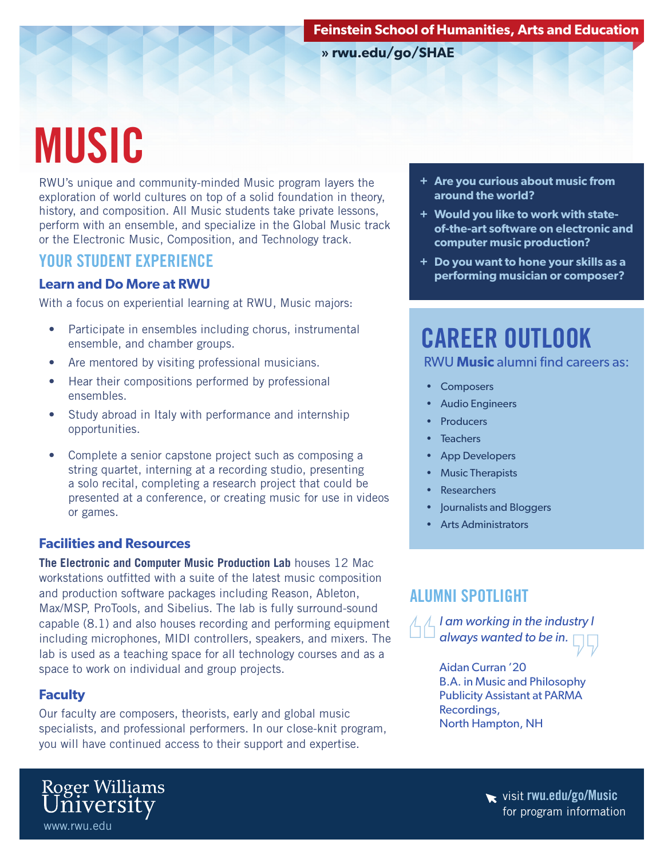**» rwu.edu/go/SHAE**

# MUSIC

RWU's unique and community-minded Music program layers the exploration of world cultures on top of a solid foundation in theory, history, and composition. All Music students take private lessons, perform with an ensemble, and specialize in the Global Music track or the Electronic Music, Composition, and Technology track.

### YOUR STUDENT EXPERIENCE

#### **Learn and Do More at RWU**

With a focus on experiential learning at RWU, Music majors:

- Participate in ensembles including chorus, instrumental ensemble, and chamber groups.
- Are mentored by visiting professional musicians.
- Hear their compositions performed by professional ensembles.
- Study abroad in Italy with performance and internship opportunities.
- Complete a senior capstone project such as composing a string quartet, interning at a recording studio, presenting a solo recital, completing a research project that could be presented at a conference, or creating music for use in videos or games.

#### **Facilities and Resources**

**The Electronic and Computer Music Production Lab** houses 12 Mac workstations outfitted with a suite of the latest music composition and production software packages including Reason, Ableton, Max/MSP, ProTools, and Sibelius. The lab is fully surround-sound capable (8.1) and also houses recording and performing equipment including microphones, MIDI controllers, speakers, and mixers. The lab is used as a teaching space for all technology courses and as a space to work on individual and group projects.

#### **Faculty**

www.rwu.edu

Roger Williams<br>University

Our faculty are composers, theorists, early and global music specialists, and professional performers. In our close-knit program, you will have continued access to their support and expertise.



- **+ Would you like to work with stateof-the-art software on electronic and computer music production?**
- **+ Do you want to hone your skills as a performing musician or composer?**

# CAREER OUTLOOK RWU **Music** alumni find careers as:

- **Composers**
- Audio Engineers
- **Producers**
- **Teachers**
- App Developers
- Music Therapists
- **Researchers**
- Journalists and Bloggers
- Arts Administrators

# ALUMNI SPOTLIGHT

*I am working in the industry I always wanted to be in.*

> Aidan Curran '20 B.A. in Music and Philosophy Publicity Assistant at PARMA Recordings, North Hampton, NH

> > visit rwu.edu/go/Music for program information